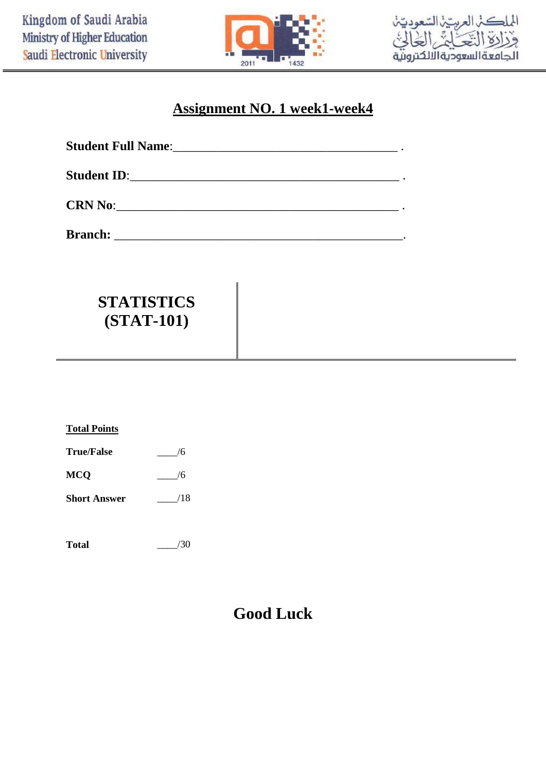



## **Assignment NO. 1 week1-week4**

| $CRN$ No: |  |
|-----------|--|

**Branch:** \_\_\_\_\_\_\_\_\_\_\_\_\_\_\_\_\_\_\_\_\_\_\_\_\_\_\_\_\_\_\_\_\_\_\_\_\_\_\_\_\_\_\_\_\_.

## **STATISTICS (STAT-101)**

| <b>Total Points</b> |     |
|---------------------|-----|
| <b>True/False</b>   | 6   |
| <b>MCQ</b>          | /6  |
| <b>Short Answer</b> | /18 |
|                     |     |

**Total** \_\_\_\_/30

## **Good Luck**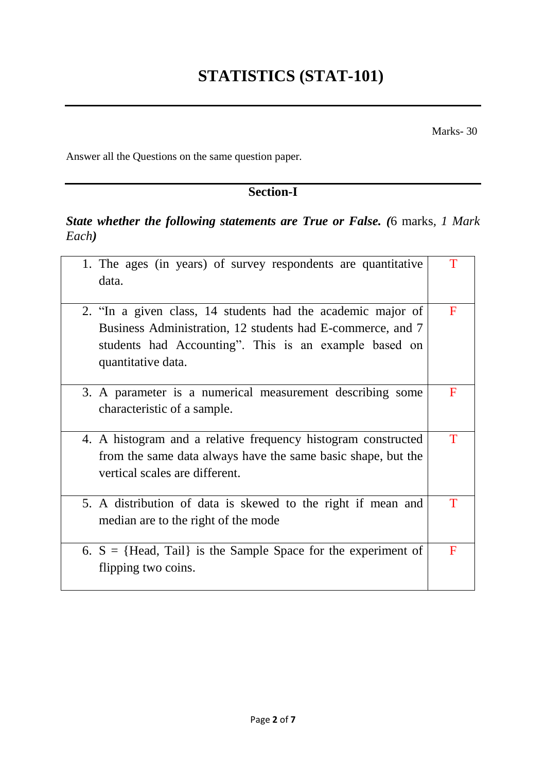Marks- 30

Answer all the Questions on the same question paper*.*

## **Section-I**

## *State whether the following statements are True or False. (*6 marks*, 1 Mark Each)*

| 1. The ages (in years) of survey respondents are quantitative<br>data.                                                                                                                                   |             |
|----------------------------------------------------------------------------------------------------------------------------------------------------------------------------------------------------------|-------------|
| 2. "In a given class, 14 students had the academic major of<br>Business Administration, 12 students had E-commerce, and 7<br>students had Accounting". This is an example based on<br>quantitative data. | F           |
| 3. A parameter is a numerical measurement describing some<br>characteristic of a sample.                                                                                                                 | F           |
| 4. A histogram and a relative frequency histogram constructed<br>from the same data always have the same basic shape, but the<br>vertical scales are different.                                          | $\mathbf T$ |
| 5. A distribution of data is skewed to the right if mean and<br>median are to the right of the mode                                                                                                      |             |
| 6. $S = {Head, Tail}$ is the Sample Space for the experiment of<br>flipping two coins.                                                                                                                   | F           |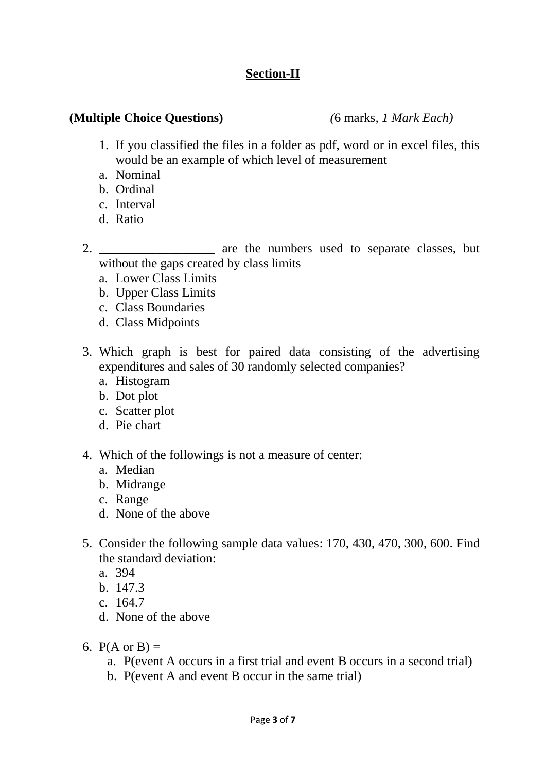## **Section-II**

#### **(Multiple Choice Questions)** *(*6 marks*, 1 Mark Each)*

- 1. If you classified the files in a folder as pdf, word or in excel files, this would be an example of which level of measurement
- a. Nominal
- b. Ordinal
- c. Interval
- d. Ratio
- 2. \_\_\_\_\_\_\_\_\_\_\_\_\_\_\_\_\_\_\_\_\_ are the numbers used to separate classes, but without the gaps created by class limits
	- a. Lower Class Limits
	- b. Upper Class Limits
	- c. Class Boundaries
	- d. Class Midpoints
- 3. Which graph is best for paired data consisting of the advertising expenditures and sales of 30 randomly selected companies?
	- a. Histogram
	- b. Dot plot
	- c. Scatter plot
	- d. Pie chart
- 4. Which of the followings is not a measure of center:
	- a. Median
	- b. Midrange
	- c. Range
	- d. None of the above
- 5. Consider the following sample data values: 170, 430, 470, 300, 600. Find the standard deviation:
	- a. 394
	- b. 147.3
	- c. 164.7
	- d. None of the above
- 6.  $P(A \text{ or } B) =$ 
	- a. P(event A occurs in a first trial and event B occurs in a second trial)
	- b. P(event A and event B occur in the same trial)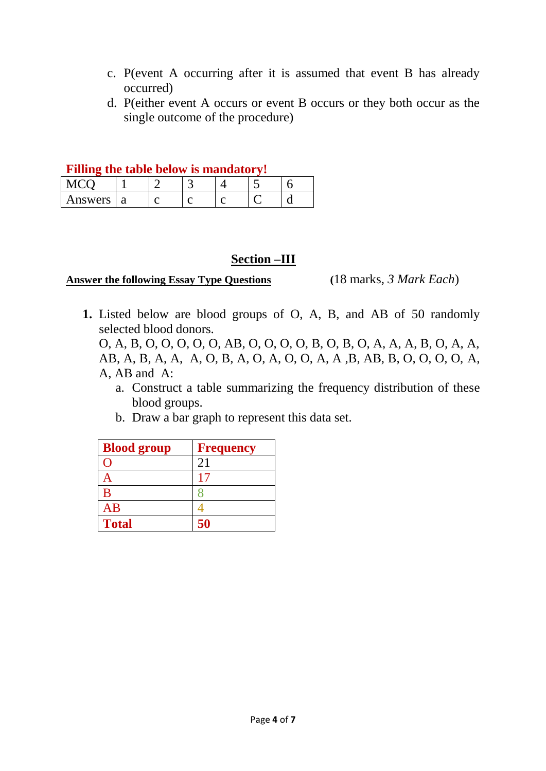- c. P(event A occurring after it is assumed that event B has already occurred)
- d. P(either event A occurs or event B occurs or they both occur as the single outcome of the procedure)

|  |  | Filling the table below is mandatory! |
|--|--|---------------------------------------|

| Answers | u |  |  |  |  |
|---------|---|--|--|--|--|

#### **Section –III**

#### **Answer the following Essay Type Questions (**18 marks*, 3 Mark Each*)

**1.** Listed below are blood groups of O, A, B, and AB of 50 randomly selected blood donors.

O, A, B, O, O, O, O, O, AB, O, O, O, O, B, O, B, O, A, A, A, B, O, A, A, AB, A, B, A, A, A, O, B, A, O, A, O, O, A, A ,B, AB, B, O, O, O, O, A, A, AB and A:

- a. Construct a table summarizing the frequency distribution of these blood groups.
- b. Draw a bar graph to represent this data set.

| <b>Blood group</b> | <b>Frequency</b> |
|--------------------|------------------|
|                    | 21               |
|                    |                  |
| B                  |                  |
| AB                 |                  |
| <b>Total</b>       | 50               |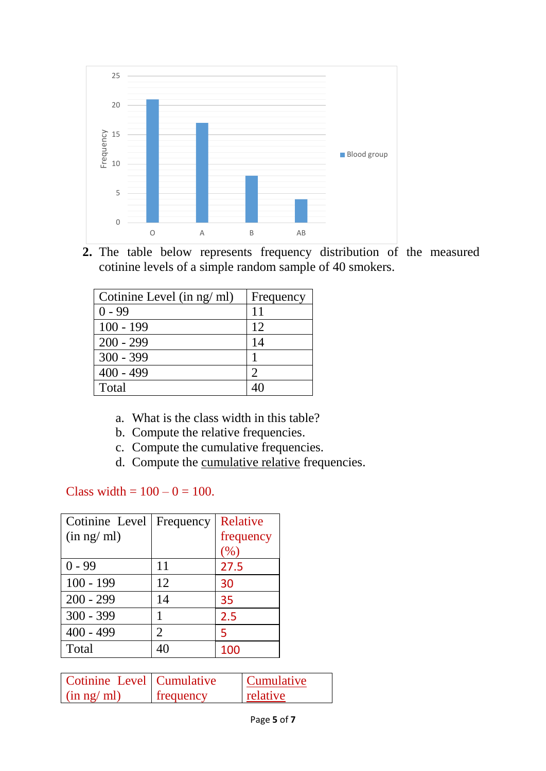

**2.** The table below represents frequency distribution of the measured cotinine levels of a simple random sample of 40 smokers.

| Cotinine Level (in ng/ ml) | Frequency |
|----------------------------|-----------|
| $0 - 99$                   | 11        |
| $100 - 199$                | 12        |
| $200 - 299$                | 14        |
| $300 - 399$                |           |
| $400 - 499$                | 2         |
| Total                      |           |

- a. What is the class width in this table?
- b. Compute the relative frequencies.
- c. Compute the cumulative frequencies.
- d. Compute the cumulative relative frequencies.

### Class width =  $100 - 0 = 100$ .

| Cotinine Level | Frequency | Relative  |
|----------------|-----------|-----------|
| (in ng/ml)     |           | frequency |
|                |           | (%)       |
| $0 - 99$       | 11        | 27.5      |
| $100 - 199$    | 12        | 30        |
| $200 - 299$    | 14        | 35        |
| $300 - 399$    |           | 2.5       |
| $400 - 499$    | 2         | 5         |
| Total          |           | 100       |

| Cotinine Level   Cumulative |                  | <b>Cumulative</b> |
|-----------------------------|------------------|-------------------|
| (in ng/ml)                  | <b>frequency</b> | relative          |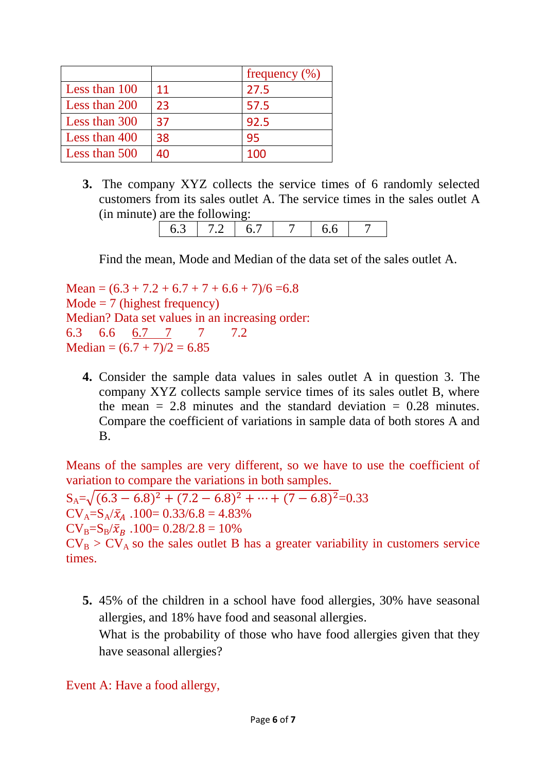|               |    | frequency $(\% )$ |
|---------------|----|-------------------|
| Less than 100 | 11 | 27.5              |
| Less than 200 | 23 | 57.5              |
| Less than 300 | 37 | 92.5              |
| Less than 400 | 38 | 95                |
| Less than 500 | 40 | 100               |

**3.** The company XYZ collects the service times of 6 randomly selected customers from its sales outlet A. The service times in the sales outlet A (in minute) are the following:

| _ |  |  |
|---|--|--|

Find the mean, Mode and Median of the data set of the sales outlet A.

Mean =  $(6.3 + 7.2 + 6.7 + 7 + 6.6 + 7)/6 = 6.8$  $Mode = 7$  (highest frequency) Median? Data set values in an increasing order: 6.3 6.6 6.7 7 7 7.2 Median =  $(6.7 + 7)/2 = 6.85$ 

**4.** Consider the sample data values in sales outlet A in question 3. The company XYZ collects sample service times of its sales outlet B, where the mean  $= 2.8$  minutes and the standard deviation  $= 0.28$  minutes. Compare the coefficient of variations in sample data of both stores A and B.

Means of the samples are very different, so we have to use the coefficient of variation to compare the variations in both samples.

 $S_A = \sqrt{(6.3 - 6.8)^2 + (7.2 - 6.8)^2 + \dots + (7 - 6.8)^2} = 0.33$  $CV_A = S_A / \bar{x}_A$ . 100 = 0.33/6.8 = 4.83%  $CV_B = S_B / \bar{x}_B$ . 100= 0.28/2.8 = 10%  $CV_B > CV_A$  so the sales outlet B has a greater variability in customers service times.

**5.** 45% of the children in a school have food allergies, 30% have seasonal allergies, and 18% have food and seasonal allergies.

What is the probability of those who have food allergies given that they have seasonal allergies?

### Event A: Have a food allergy,